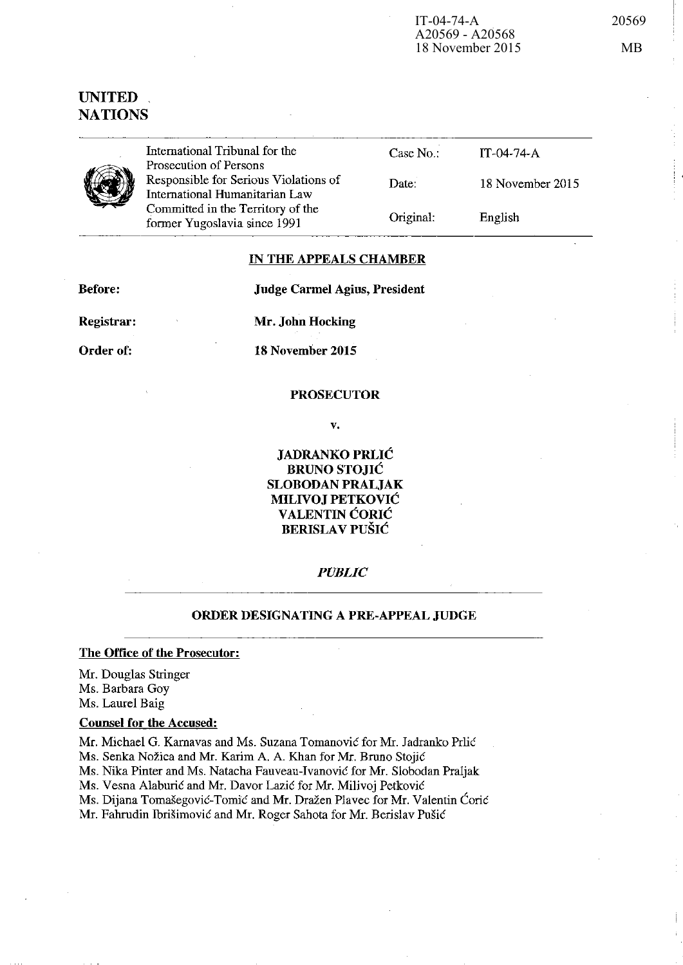# UNITED **NATIONS**



International Tribunal for the Prosecution of Persons Responsible for Serious Violations of International Humanitarian Law Committed in the Territory of the fonner Yugoslavia since 1991

---------

| Case No:  | $IT-04-74- A$    |
|-----------|------------------|
| Date:     | 18 November 2015 |
| Original: | English          |

# IN THE APPEALS CHAMBER

Before:

Judge Carmel Agius, President

Registrar:

Mr. John Hocking

Order of:

18 November 2015

#### PROSECUTOR

v.

JADRANKO PRLIC BRUNO STOJIC SLOBODAN PRALJAK MILIVOJ PETKOVIC VALENTIN CORIC BERISLAV PUSIC

#### *PUBLIC*

## ORDER DESIGNATING A PRE-APPEAL JUDGE

The Office of the Prosecutor:

Mr. Douglas Stringer Ms. Barbara Goy Ms. Laurel Baig

### Counsel for the Accused:

Mr. Michael G. Karnavas and Ms. Suzana Tomanovie for Mr. Jadranko Prlic

Ms. Senka Nožica and Mr. Karim A. A. Khan for Mr. Bruno Stojić

Ms. Nika Pinter and Ms. Natacha Fauveau-Ivanovie for Mr. Siobodan Praljak

Ms. Vesna Alaburić and Mr. Davor Lazić for Mr. Milivoj Petković

Ms. Dijana Tomašegović-Tomić and Mr. Dražen Plavec for Mr. Valentin Ćorić

Mr. Fahrudin Ibrišimović and Mr. Roger Sahota for Mr. Berislav Pušić